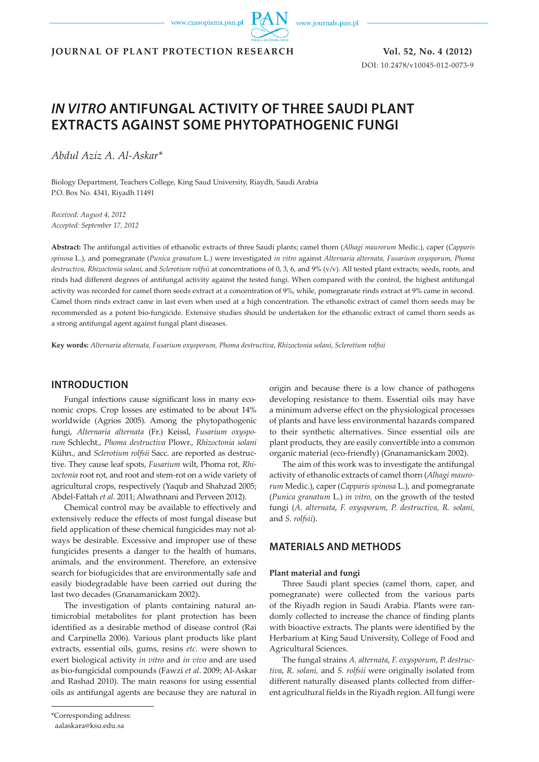www.czasopisma.pan.pl



**JOURNAL OF PLANT PROTECTION RESEARCH Vol. 52, No. 4 (2012)**

DOI: 10.2478/v10045-012-0073-9

# *IN VITRO* **ANTIFUNGAL ACTIVITY OF THREE SAUDI PLANT EXTRACTS AGAINST SOME PHYTOPATHOGENIC FUNGI**

*Abdul Aziz A. Al-Askar\**

Biology Department, Teachers College, King Saud University, Riaydh, Saudi Arabia P.O. Box No. 4341, Riyadh 11491

*Received: August 4, 2012 Accepted: September 17, 2012*

**Abstract:** The antifungal activities of ethanolic extracts of three Saudi plants; camel thorn (*Alhagi maurorum* Medic.), caper (*Capparis spinosa* L.), and pomegranate (*Punica granatum* L.) were investigated *in vitro* against *Alternaria alternata, Fusarium oxysporum, Phoma destructiva, Rhizoctonia solani,* and *Sclerotium rolfsii* at concentrations of 0, 3, 6, and 9% (v/v). All tested plant extracts; seeds, roots, and rinds had different degrees of antifungal activity against the tested fungi. When compared with the control, the highest antifungal activity was recorded for camel thorn seeds extract at a concentration of 9%, while, pomegranate rinds extract at 9% came in second. Camel thorn rinds extract came in last even when used at a high concentration. The ethanolic extract of camel thorn seeds may be recommended as a potent bio-fungicide. Extensive studies should be undertaken for the ethanolic extract of camel thorn seeds as a strong antifungal agent against fungal plant diseases.

**Key words:** *Alternaria alternata, Fusarium oxysporum, Phoma destructiva*, *Rhizoctonia solani*, *Sclerotium rolfsii* 

## **INTRODUCTION**

Fungal infections cause significant loss in many economic crops. Crop losses are estimated to be about 14% worldwide (Agrios 2005). Among the phytopathogenic fungi, *Alternaria alternata* (Fr.) Keissl, *Fusarium oxysporum* Schlecht., *Phoma destructiva* Plowr., *Rhizoctonia solani* Kühn., and *Sclerotium rolfsii* Sacc. are reported as destructive. They cause leaf spots, *Fusarium* wilt, Phoma rot, *Rhizoctonia* root rot, and root and stem-rot on a wide variety of agricultural crops, respectively (Yaqub and Shahzad 2005; Abdel-Fattah *et al*. 2011; Alwathnani and Perveen 2012).

Chemical control may be available to effectively and extensively reduce the effects of most fungal disease but field application of these chemical fungicides may not always be desirable. Excessive and improper use of these fungicides presents a danger to the health of humans, animals, and the environment. Therefore, an extensive search for biofugicides that are environmentally safe and easily biodegradable have been carried out during the last two decades (Gnanamanickam 2002).

The investigation of plants containing natural antimicrobial metabolites for plant protection has been identified as a desirable method of disease control (Rai and Carpinella 2006). Various plant products like plant extracts, essential oils, gums, resins *etc.* were shown to exert biological activity *in vitro* and *in vivo* and are used as bio-fungicidal compounds (Fawzi *et al*. 2009; Al-Askar and Rashad 2010). The main reasons for using essential oils as antifungal agents are because they are natural in

\*Corresponding address:

origin and because there is a low chance of pathogens developing resistance to them. Essential oils may have a minimum adverse effect on the physiological processes of plants and have less environmental hazards compared to their synthetic alternatives. Since essential oils are plant products, they are easily convertible into a common organic material (eco-friendly) (Gnanamanickam 2002).

The aim of this work was to investigate the antifungal activity of ethanolic extracts of camel thorn (*Alhagi maurorum* Medic.), caper (*Capparis spinosa* L.), and pomegranate (*Punica granatum* L.) *in vitro,* on the growth of the tested fungi (*A. alternata*, *F. oxysporum*, *P. destructiva*, *R. solani,*  and *S. rolfsii*).

# **MATERIALS AND METHODS**

#### **Plant material and fungi**

Three Saudi plant species (camel thorn, caper, and pomegranate) were collected from the various parts of the Riyadh region in Saudi Arabia. Plants were randomly collected to increase the chance of finding plants with bioactive extracts. The plants were identified by the Herbarium at King Saud University, College of Food and Agricultural Sciences.

The fungal strains *A. alternata*, *F. oxysporum*, *P. destructiva*, *R. solani,* and *S. rolfsii* were originally isolated from different naturally diseased plants collected from different agricultural fields in the Riyadh region. All fungi were

aalaskara@ksu.edu.sa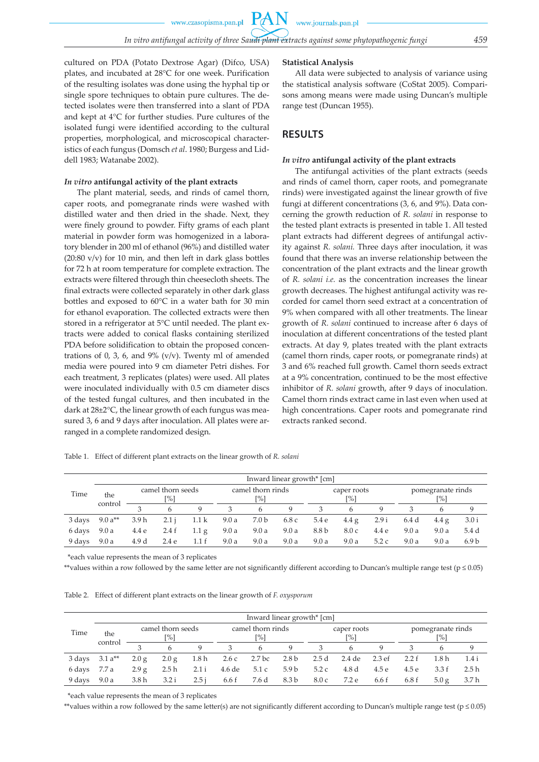PA

cultured on PDA (Potato Dextrose Agar) (Difco, USA) plates, and incubated at 28°C for one week. Purification of the resulting isolates was done using the hyphal tip or single spore techniques to obtain pure cultures. The detected isolates were then transferred into a slant of PDA and kept at 4°C for further studies. Pure cultures of the isolated fungi were identified according to the cultural properties, morphological, and microscopical characteristics of each fungus (Domsch *et al*. 1980; Burgess and Liddell 1983; Watanabe 2002).

#### *In vitro* **antifungal activity of the plant extracts**

The plant material, seeds, and rinds of camel thorn, caper roots, and pomegranate rinds were washed with distilled water and then dried in the shade. Next, they were finely ground to powder. Fifty grams of each plant material in powder form was homogenized in a laboratory blender in 200 ml of ethanol (96%) and distilled water (20:80 v/v) for 10 min, and then left in dark glass bottles for 72 h at room temperature for complete extraction. The extracts were filtered through thin cheesecloth sheets. The final extracts were collected separately in other dark glass bottles and exposed to 60°C in a water bath for 30 min for ethanol evaporation. The collected extracts were then stored in a refrigerator at 5°C until needed. The plant extracts were added to conical flasks containing sterilized PDA before solidification to obtain the proposed concentrations of 0, 3, 6, and 9%  $(v/v)$ . Twenty ml of amended media were poured into 9 cm diameter Petri dishes. For each treatment, 3 replicates (plates) were used. All plates were inoculated individually with 0.5 cm diameter discs of the tested fungal cultures, and then incubated in the dark at 28±2°C, the linear growth of each fungus was measured 3, 6 and 9 days after inoculation. All plates were arranged in a complete randomized design.

#### **Statistical Analysis**

All data were subjected to analysis of variance using the statistical analysis software (CoStat 2005). Comparisons among means were made using Duncan's multiple range test (Duncan 1955).

## **RESULTS**

#### *In vitro* **antifungal activity of the plant extracts**

The antifungal activities of the plant extracts (seeds and rinds of camel thorn, caper roots, and pomegranate rinds) were investigated against the linear growth of five fungi at different concentrations (3, 6, and 9%). Data concerning the growth reduction of *R. solani* in response to the tested plant extracts is presented in table 1. All tested plant extracts had different degrees of antifungal activity against *R. solani.* Three days after inoculation, it was found that there was an inverse relationship between the concentration of the plant extracts and the linear growth of *R. solani i.e.* as the concentration increases the linear growth decreases. The highest antifungal activity was recorded for camel thorn seed extract at a concentration of 9% when compared with all other treatments. The linear growth of *R. solani* continued to increase after 6 days of inoculation at different concentrations of the tested plant extracts. At day 9, plates treated with the plant extracts (camel thorn rinds, caper roots, or pomegranate rinds) at 3 and 6% reached full growth. Camel thorn seeds extract at a 9% concentration, continued to be the most effective inhibitor of *R. solani* growth, after 9 days of inoculation. Camel thorn rinds extract came in last even when used at high concentrations. Caper roots and pomegranate rind extracts ranked second.

|  | Table 1. Effect of different plant extracts on the linear growth of R. solani |  |  |  |  |
|--|-------------------------------------------------------------------------------|--|--|--|--|
|--|-------------------------------------------------------------------------------|--|--|--|--|

| Time   |                | Inward linear growth* [cm] |       |                  |                          |       |             |                    |       |       |                          |       |                  |  |
|--------|----------------|----------------------------|-------|------------------|--------------------------|-------|-------------|--------------------|-------|-------|--------------------------|-------|------------------|--|
|        | the<br>control | camel thorn seeds<br>[%]   |       |                  | camel thorn rinds<br>[%] |       |             | caper roots<br>[%] |       |       | pomegranate rinds<br>[%] |       |                  |  |
|        |                |                            | 6     | Q                | 3                        | 6     | $\mathbf Q$ |                    | 6     |       |                          | h     | 9                |  |
| 3 days | 9.0 $a^{**}$   | 3.9 <sub>h</sub>           | 2.1 i | 1.1 <sub>k</sub> | 9.0a                     | 7.0 b | 6.8 c       | 5.4 e              | 4.4 g | 2.9i  | 6.4d                     | 4.4 g | 3.0 i            |  |
| 6 days | 9.0a           | 4.4 e                      | 2.4f  | $1.1\text{ g}$   | 9.0a                     | 9.0a  | 9.0a        | 8.8 b              | 8.0c  | 4.4 e | 9.0a                     | 9.0a  | 5.4 d            |  |
| 9 days | 9.0a           | 4.9 d                      | 2.4e  | 1.1 f            | 9.0a                     | 9.0a  | 9.0a        | 9.0a               | 9.0a  | 5.2c  | 9.0a                     | 9.0 a | 6.9 <sub>b</sub> |  |

\*each value represents the mean of 3 replicates

\*\*values within a row followed by the same letter are not significantly different according to Duncan's multiple range test ( $p \le 0.05$ )

Table 2. Effect of different plant extracts on the linear growth of *F. oxysporum*

|        |                | Inward linear growth* [cm] |                          |       |                          |        |                  |                    |        |       |                                     |                  |       |  |  |
|--------|----------------|----------------------------|--------------------------|-------|--------------------------|--------|------------------|--------------------|--------|-------|-------------------------------------|------------------|-------|--|--|
| Time   | the<br>control |                            | camel thorn seeds<br>[%] |       | camel thorn rinds<br>[%] |        |                  | caper roots<br>[%] |        |       | pomegranate rinds<br>$\frac{10}{6}$ |                  |       |  |  |
|        |                |                            | h                        | Q     | 3                        | 6      | $\mathbf Q$      | 3                  | 6      | Q     |                                     | h                | 9     |  |  |
| 3 days | $3.1 a^{**}$   | 2.0 g                      | 2.0 g                    | 1.8 h | 2.6c                     | 2.7 bc | 2.8 <sub>b</sub> | 2.5d               | 2.4 de | 2.3ef | 2.2 f                               | 1.8 <sub>h</sub> | 1.4 i |  |  |
| 6 days | 7.7 a          | 2.9 g                      | 2.5h                     | 2.1 i | 4.6 de                   | 5.1c   | 5.9 <sub>b</sub> | 5.2c               | 4.8d   | 4.5 e | 4.5 e                               | 3.3f             | 2.5h  |  |  |
| 9 days | 9.0a           | 3.8h                       | 3.2 i                    | 2.5i  | 6.6 f                    | 7.6 d  | 8.3 b            | 8.0c               | 7.2 e  | 6.6 f | 6.8 f                               | $5.0 \text{ g}$  | 3.7h  |  |  |

\*each value represents the mean of 3 replicates

\*\*values within a row followed by the same letter(s) are not significantly different according to Duncan's multiple range test ( $p \le 0.05$ )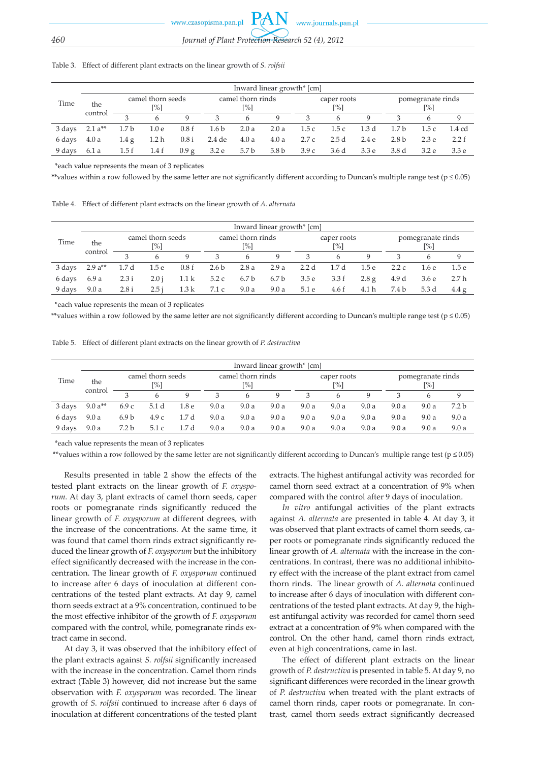#### Table 3. Effect of different plant extracts on the linear growth of *S. rolfsii*

|        |                | Inward linear growth* [cm] |                  |       |                                        |       |                  |                    |       |                  |                                      |                  |                  |  |
|--------|----------------|----------------------------|------------------|-------|----------------------------------------|-------|------------------|--------------------|-------|------------------|--------------------------------------|------------------|------------------|--|
| Time   | the<br>control | camel thorn seeds<br>[%]   |                  |       | camel thorn rinds<br>$\left[\%\right]$ |       |                  | caper roots<br>[%] |       |                  | pomegranate rinds<br>$\binom{10}{0}$ |                  |                  |  |
|        |                |                            | 6                | Q     | 3                                      | 6     | 9                |                    | 6     |                  |                                      |                  | 9                |  |
| 3 days | $2.1 a**$      | 1.7 <sub>b</sub>           | 1.0 <sub>e</sub> | 0.8f  | 1.6 <sub>b</sub>                       | 2.0a  | 2.0a             | 1.5c               | 1.5c  | 1.3 d            | 1.7 <sub>b</sub>                     | 1.5c             | 1.4 cd           |  |
| 6 days | 4.0a           | 1.4g                       | 1.2 <sub>h</sub> | 0.8 i | 2.4 de                                 | 4.0a  | 4.0a             | 2.7c               | 2.5d  | 2.4 e            | 2.8 <sub>b</sub>                     | 2.3 <sub>e</sub> | 2.2 f            |  |
| 9 days | 6.1a           | 1.5f                       | 1.4 f            | 0.9 g | 3.2 e                                  | 5.7 b | 5.8 <sub>b</sub> | 3.9c               | 3.6 d | 3.3 <sub>e</sub> | 3.8 <sub>d</sub>                     | 3.2 e            | 3.3 <sub>e</sub> |  |

\*each value represents the mean of 3 replicates

\*\*values within a row followed by the same letter are not significantly different according to Duncan's multiple range test ( $p \le 0.05$ )

Table 4. Effect of different plant extracts on the linear growth of *A. alternata*

|        |                | Inward linear growth* [cm] |                  |                  |                          |                  |             |                    |       |       |                                         |                  |       |  |
|--------|----------------|----------------------------|------------------|------------------|--------------------------|------------------|-------------|--------------------|-------|-------|-----------------------------------------|------------------|-------|--|
| Time   | the<br>control | camel thorn seeds<br>[%]   |                  |                  | camel thorn rinds<br>[%] |                  |             | caper roots<br>[%] |       |       | pomegranate rinds<br>$\lceil \% \rceil$ |                  |       |  |
|        |                |                            |                  | $\mathbf Q$      | 3                        | 6                | $\mathbf Q$ | 3                  | 6     | Q     |                                         |                  | 9     |  |
| 3 days | 2.9 $a^{**}$   | 1.7d                       | 1.5 <sub>e</sub> | 0.8f             | 2.6 <sub>b</sub>         | 2.8a             | 2.9a        | 2.2d               | 1.7 d | 1.5e  | 2.2c                                    | 1.6 e            | 1.5 e |  |
| 6 days | 6.9 a          | 2.3 i                      | 2.0 i            | 1.1 <sub>k</sub> | 5.2c                     | 6.7 <sub>b</sub> | 6.7 b       | 3.5 e              | 3.3 f | 2.8 g | 4.9 d                                   | 3.6 <sub>e</sub> | 2.7h  |  |
| 9 days | 9.0a           | 2.8i                       | 2.5i             | 1.3k             | 7.1 c                    | 9.0a             | 9.0a        | 5.1 e              | 4.6 f | 4.1 h | 7.4 b                                   | 5.3 d            | 4.4 g |  |

\*each value represents the mean of 3 replicates

\*\*values within a row followed by the same letter are not significantly different according to Duncan's multiple range test ( $p \le 0.05$ )

Table 5. Effect of different plant extracts on the linear growth of *P. destructiva*

|        |                | Inward linear growth* [cm] |                          |                  |                          |      |      |                                |      |      |      |                                                  |                  |  |
|--------|----------------|----------------------------|--------------------------|------------------|--------------------------|------|------|--------------------------------|------|------|------|--------------------------------------------------|------------------|--|
| Time   | the<br>control |                            | camel thorn seeds<br>[%] |                  | camel thorn rinds<br>[%] |      |      | caper roots<br>$\binom{10}{0}$ |      |      |      | pomegranate rinds<br>$\lceil \frac{9}{6} \rceil$ |                  |  |
|        |                |                            | 6                        | Q                | 3                        | h    | Q    | 3                              | 6    | Q    |      | 6                                                | 9                |  |
| 3 days | 9.0 $a^{**}$   | 6.9c                       | 5.1 d                    | 1.8 <sub>e</sub> | 9.0a                     | 9.0a | 9.0a | 9.0a                           | 9.0a | 9.0a | 9.0a | 9.0a                                             | 7.2 <sub>b</sub> |  |
| 6 days | 9.0a           | 6.9 <sub>b</sub>           | 4.9c                     | 1.7d             | 9.0a                     | 9.0a | 9.0a | 9.0a                           | 9.0a | 9.0a | 9.0a | 9.0a                                             | 9.0a             |  |
| 9 days | 9.0a           | 7.2 <sub>b</sub>           | 5.1 c                    | 1.7d             | 9.0a                     | 9.0a | 9.0a | 9.0a                           | 9.0a | 9.0a | 9.0a | 9.0a                                             | 9.0a             |  |

\*each value represents the mean of 3 replicates

\*\*values within a row followed by the same letter are not significantly different according to Duncan's multiple range test ( $p \le 0.05$ )

Results presented in table 2 show the effects of the tested plant extracts on the linear growth of *F. oxysporum.* At day 3, plant extracts of camel thorn seeds, caper roots or pomegranate rinds significantly reduced the linear growth of *F. oxysporum* at different degrees, with the increase of the concentrations. At the same time, it was found that camel thorn rinds extract significantly reduced the linear growth of *F. oxysporum* but the inhibitory effect significantly decreased with the increase in the concentration. The linear growth of *F. oxysporum* continued to increase after 6 days of inoculation at different concentrations of the tested plant extracts. At day 9, camel thorn seeds extract at a 9% concentration, continued to be the most effective inhibitor of the growth of *F. oxysporum* compared with the control, while, pomegranate rinds extract came in second.

At day 3, it was observed that the inhibitory effect of the plant extracts against *S. rolfsii* significantly increased with the increase in the concentration. Camel thorn rinds extract (Table 3) however, did not increase but the same observation with *F. oxysporum* was recorded. The linear growth of *S. rolfsii* continued to increase after 6 days of inoculation at different concentrations of the tested plant extracts. The highest antifungal activity was recorded for camel thorn seed extract at a concentration of 9% when compared with the control after 9 days of inoculation.

*In vitro* antifungal activities of the plant extracts against *A. alternata* are presented in table 4. At day 3, it was observed that plant extracts of camel thorn seeds, caper roots or pomegranate rinds significantly reduced the linear growth of *A. alternata* with the increase in the concentrations. In contrast, there was no additional inhibitory effect with the increase of the plant extract from camel thorn rinds. The linear growth of *A. alternata* continued to increase after 6 days of inoculation with different concentrations of the tested plant extracts. At day 9, the highest antifungal activity was recorded for camel thorn seed extract at a concentration of 9% when compared with the control. On the other hand, camel thorn rinds extract, even at high concentrations, came in last.

The effect of different plant extracts on the linear growth of *P. destructiva* is presented in table 5. At day 9, no significant differences were recorded in the linear growth of *P. destructiva* when treated with the plant extracts of camel thorn rinds, caper roots or pomegranate. In contrast, camel thorn seeds extract significantly decreased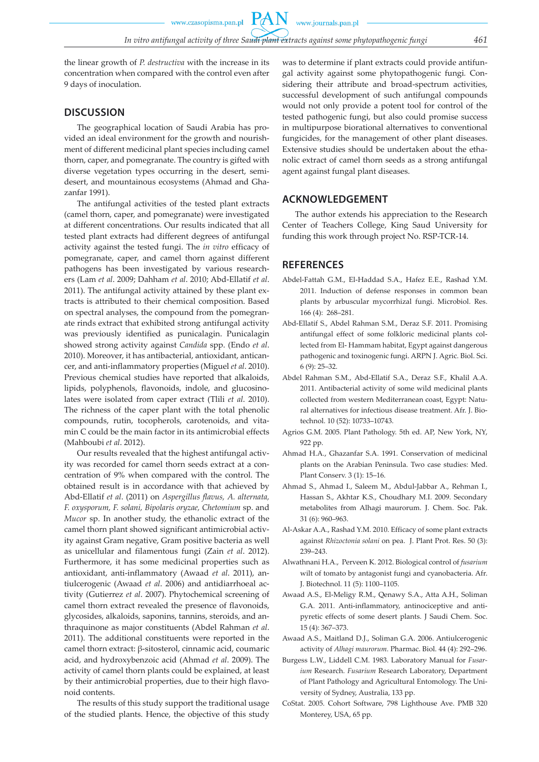www.czasopisma.pan.pl

www.journals.pan.pl

**PAN** 

the linear growth of *P. destructiva* with the increase in its concentration when compared with the control even after 9 days of inoculation.

## **DISCUSSION**

The geographical location of Saudi Arabia has provided an ideal environment for the growth and nourishment of different medicinal plant species including camel thorn, caper, and pomegranate. The country is gifted with diverse vegetation types occurring in the desert, semidesert, and mountainous ecosystems (Ahmad and Ghazanfar 1991).

The antifungal activities of the tested plant extracts (camel thorn, caper, and pomegranate) were investigated at different concentrations. Our results indicated that all tested plant extracts had different degrees of antifungal activity against the tested fungi. The *in vitro* efficacy of pomegranate, caper, and camel thorn against different pathogens has been investigated by various researchers (Lam *et al*. 2009; Dahham *et al*. 2010; Abd-Ellatif *et al*. 2011). The antifungal activity attained by these plant extracts is attributed to their chemical composition. Based on spectral analyses, the compound from the pomegranate rinds extract that exhibited strong antifungal activity was previously identified as punicalagin. Punicalagin showed strong activity against *Candida* spp. (Endo *et al*. 2010). Moreover, it has antibacterial, antioxidant, anticancer, and anti-inflammatory properties (Miguel *et al*. 2010). Previous chemical studies have reported that alkaloids, lipids, polyphenols, flavonoids, indole, and glucosinolates were isolated from caper extract (Tlili *et al*. 2010). The richness of the caper plant with the total phenolic compounds, rutin, tocopherols, carotenoids, and vitamin C could be the main factor in its antimicrobial effects (Mahboubi *et al*. 2012).

Our results revealed that the highest antifungal activity was recorded for camel thorn seeds extract at a concentration of 9% when compared with the control. The obtained result is in accordance with that achieved by Abd-Ellatif *et al*. (2011) on *Aspergillus flavus, A. alternata, F. oxysporum, F. solani, Bipolaris oryzae, Chetomium* sp. and *Mucor* sp. In another study, the ethanolic extract of the camel thorn plant showed significant antimicrobial activity against Gram negative, Gram positive bacteria as well as unicellular and filamentous fungi (Zain *et al*. 2012). Furthermore, it has some medicinal properties such as antioxidant, anti-inflammatory (Awaad *et al*. 2011), antiulcerogenic (Awaad *et al*. 2006) and antidiarrhoeal activity (Gutierrez *et al*. 2007). Phytochemical screening of camel thorn extract revealed the presence of flavonoids, glycosides, alkaloids, saponins, tannins, steroids, and anthraquinone as major constituents (Abdel Rahman *et al*. 2011). The additional constituents were reported in the camel thorn extract: β-sitosterol, cinnamic acid, coumaric acid, and hydroxybenzoic acid (Ahmad *et al*. 2009). The activity of camel thorn plants could be explained, at least by their antimicrobial properties, due to their high flavonoid contents.

The results of this study support the traditional usage of the studied plants. Hence, the objective of this study was to determine if plant extracts could provide antifungal activity against some phytopathogenic fungi*.* Considering their attribute and broad-spectrum activities, successful development of such antifungal compounds would not only provide a potent tool for control of the tested pathogenic fungi, but also could promise success in multipurpose biorational alternatives to conventional fungicides, for the management of other plant diseases. Extensive studies should be undertaken about the ethanolic extract of camel thorn seeds as a strong antifungal agent against fungal plant diseases.

#### **ACKNOWLEDGEMENT**

The author extends his appreciation to the Research Center of Teachers College, King Saud University for funding this work through project No. RSP-TCR-14.

### **REFERENCES**

- Abdel-Fattah G.M., El-Haddad S.A., Hafez E.E., Rashad Y.M. 2011. Induction of defense responses in common bean plants by arbuscular mycorrhizal fungi. Microbiol. Res. 166 (4): 268–281.
- Abd-Ellatif S., Abdel Rahman S.M., Deraz S.F. 2011. Promising antifungal effect of some folkloric medicinal plants collected from El- Hammam habitat, Egypt against dangerous pathogenic and toxinogenic fungi. ARPN J. Agric. Biol. Sci. 6 (9): 25–32.
- Abdel Rahman S.M., Abd-Ellatif S.A., Deraz S.F., Khalil A.A. 2011. Antibacterial activity of some wild medicinal plants collected from western Mediterranean coast, Egypt: Natural alternatives for infectious disease treatment. Afr. J. Biotechnol. 10 (52): 10733–10743.
- Agrios G.M. 2005. Plant Pathology. 5th ed. AP, New York, NY, 922 pp.
- Ahmad H.A., Ghazanfar S.A. 1991. Conservation of medicinal plants on the Arabian Peninsula. Two case studies: Med. Plant Conserv. 3 (1): 15–16.
- Ahmad S., Ahmad I., Saleem M., Abdul-Jabbar A., Rehman I., Hassan S., Akhtar K.S., Choudhary M.I. 2009. Secondary metabolites from Alhagi maurorum. J. Chem. Soc. Pak. 31 (6): 960–963.
- Al-Askar A.A., Rashad Y.M. 2010. Efficacy of some plant extracts against *Rhizoctonia solani* on pea. J. Plant Prot. Res. 50 (3): 239–243.
- Alwathnani H.A., Perveen K. 2012. Biological control of *fusarium* wilt of tomato by antagonist fungi and cyanobacteria. Afr. J. Biotechnol. 11 (5): 1100–1105.
- Awaad A.S., El-Meligy R.M., Qenawy S.A., Atta A.H., Soliman G.A. 2011. Anti-inflammatory, antinociceptive and antipyretic effects of some desert plants. J Saudi Chem. Soc. 15 (4): 367–373.
- Awaad A.S., Maitland D.J., Soliman G.A. 2006. Antiulcerogenic activity of *Alhagi maurorum*. Pharmac. Biol. 44 (4): 292–296.
- Burgess L.W., Liddell C.M. 1983. Laboratory Manual for *Fusarium* Research. *Fusarium* Research Laboratory, Department of Plant Pathology and Agricultural Entomology. The University of Sydney, Australia, 133 pp.
- CoStat. 2005. Cohort Software, 798 Lighthouse Ave. PMB 320 Monterey, USA, 65 pp.